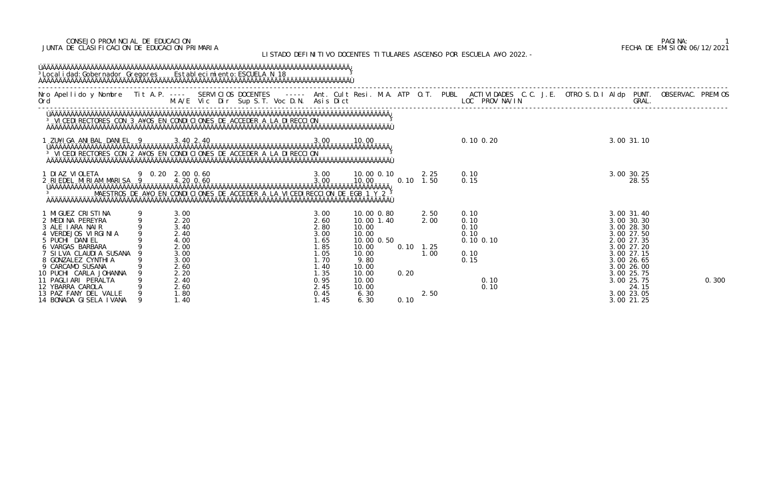### CONSEJO PROVINCIAL DE EDUCACION PAGINA: 1 JUNTA DE CLASIFICACION DE EDUCACION PRIMARIA FECHA DE EMISION:06/12/2021

# LISTADO DEFINITIVO DOCENTES TITULARES ASCENSO POR ESCUELA A¥O 2022.-

| Nro Apellido y Nombre Tit A.P. ---- SERVICIOS DOCENTES ----- Ant. Cult Resi. M.A. ATP O.T. PUBL ACTIVIDADES C.C. J.E. OTRO S.D.I AIdp PUNT. OBSERVAC. PREMIOS<br>Ord M.A/E Vic Dir Sup S.T. Voc D.N. Asis Dict LOC PROV NA/IN GRA                                                                                     |   |                                                                                                              |  |                                                                                                              |                                                                                              |                                        |              |                                                   |                                                                           |                                                                                  |                                                                                                         |       |
|-----------------------------------------------------------------------------------------------------------------------------------------------------------------------------------------------------------------------------------------------------------------------------------------------------------------------|---|--------------------------------------------------------------------------------------------------------------|--|--------------------------------------------------------------------------------------------------------------|----------------------------------------------------------------------------------------------|----------------------------------------|--------------|---------------------------------------------------|---------------------------------------------------------------------------|----------------------------------------------------------------------------------|---------------------------------------------------------------------------------------------------------|-------|
|                                                                                                                                                                                                                                                                                                                       |   |                                                                                                              |  |                                                                                                              |                                                                                              |                                        |              |                                                   |                                                                           |                                                                                  |                                                                                                         |       |
|                                                                                                                                                                                                                                                                                                                       |   |                                                                                                              |  |                                                                                                              |                                                                                              |                                        |              |                                                   | $0.10$ $0.20$                                                             |                                                                                  | 3.00 31.10                                                                                              |       |
|                                                                                                                                                                                                                                                                                                                       |   |                                                                                                              |  |                                                                                                              |                                                                                              | 10.00 0.10<br>$10.00$ 0.10             |              | 2.25<br>1.50                                      | 0.10<br>0.15                                                              | 3.00 30.25                                                                       | 28.55                                                                                                   |       |
| 1 MI GUEZ CRI STI NA<br>2 MEDINA PEREYRA<br>3 ALE IARA NAIR<br>4 VERDEJOS VIRGINIA<br>5 PUCHI DANIEL<br>6 VARGAS BARBARA<br>7 SILVA CLAUDIA SUSANA<br>8 GONZALEZ CYNTHIA<br>9 CARCAMO SUSANA<br>10 PUCHI CARLA JOHANNA<br>11 PAGLI ARI PERALTA<br>12 YBARRA CAROLA<br>13 PAZ FANY DEL VALLE<br>14 BONADA GISELA IVANA | 9 | 3.00<br>2.20<br>3.40<br>2.40<br>4.00<br>2.00<br>3.00<br>3.00<br>2.60<br>2.20<br>2.40<br>2.60<br>1.80<br>1.40 |  | 3.00<br>2.60<br>2.80<br>3.00<br>1.65<br>1.85<br>1.05<br>1.70<br>1.40<br>1.35<br>0.95<br>2.45<br>0.45<br>1.45 | 10.00<br>10.00<br>10.00<br>10.00<br>9.80<br>10.00<br>10.00<br>10.00<br>10.00<br>6.30<br>6.30 | 10.00 0.80<br>10.00 1.40<br>10.00 0.50 | 0.20<br>0.10 | 2.50<br>2.00<br>$0.10 \quad 1.25$<br>1.00<br>2.50 | 0.10<br>0.10<br>0.10<br>0.10<br>0.10 0.10<br>0.10<br>0.15<br>0.10<br>0.10 | 3.00 30.30<br>2.00 27.35<br>3.00 27.15<br>3.00 26.65<br>3.00 25.75<br>3.00 23.05 | 3.00 31.40<br>3.00 28.30<br>3.00 27.50<br>3.00 27.20<br>3.00 26.00<br>3.00 25.75<br>24.15<br>3.00 21.25 | 0.300 |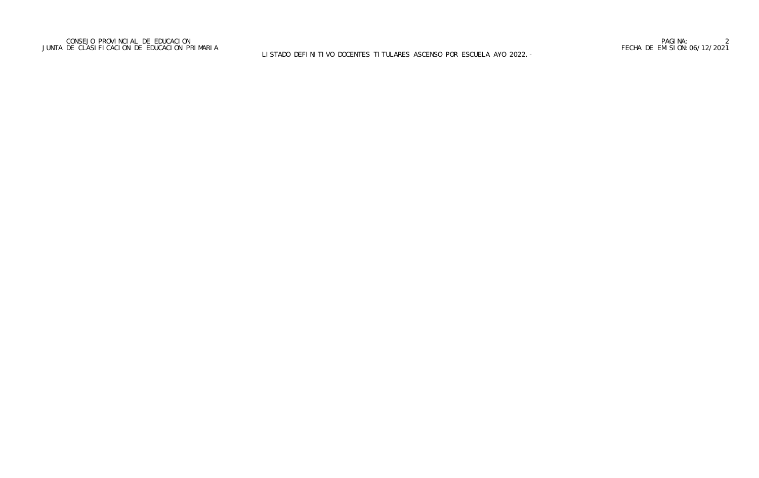CONSEJO PROVINCIAL DE EDUCACION PAGINA: 2 JUNTA DE CLASIFICACION DE EDUCACION PRIMARIA FECHA DE EMISION:06/12/2021

LISTADO DEFINITIVO DOCENTES TITULARES ASCENSO POR ESCUELA A¥O 2022.-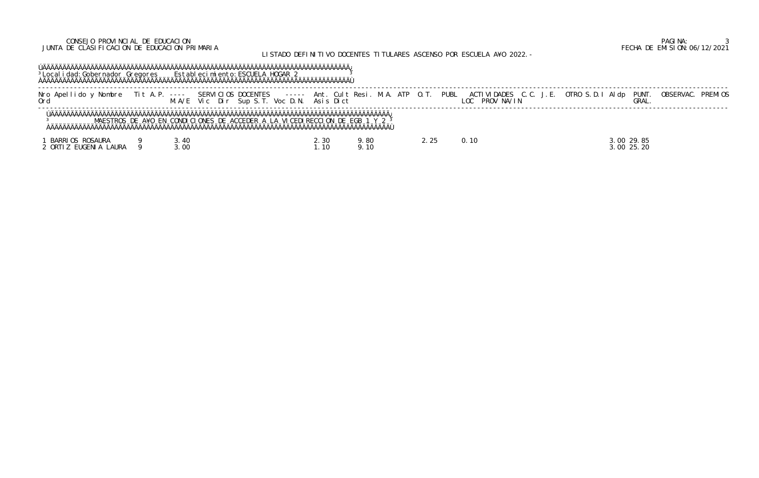### CONSEJO PROVINCIAL DE EDUCACION PAGINA: 3 JUNTA DE CLASIFICACION DE EDUCACION PRIMARIA FECHA DE EMISION:06/12/2021

# LISTADO DEFINITIVO DOCENTES TITULARES ASCENSO POR ESCUELA A¥O 2022.-

### ÚÄÄÄÄÄÄÄÄÄÄÄÄÄÄÄÄÄÄÄÄÄÄÄÄÄÄÄÄÄÄÄÄÄÄÄÄÄÄÄÄÄÄÄÄÄÄÄÄÄÄÄÄÄÄÄÄÄÄÄÄÄÄÄÄÄÄÄÄÄÄÄÄÄÄÄÄÄ¿ <sup>3</sup>Localidad:Gobernador Gregores Establecimiento:ESCUELA HOGAR 2 3 ÀÄÄÄÄÄÄÄÄÄÄÄÄÄÄÄÄÄÄÄÄÄÄÄÄÄÄÄÄÄÄÄÄÄÄÄÄÄÄÄÄÄÄÄÄÄÄÄÄÄÄÄÄÄÄÄÄÄÄÄÄÄÄÄÄÄÄÄÄÄÄÄÄÄÄÄÄÄÙ

| Ane<br>$\bigcap_{r\in\mathcal{F}}$ | -----<br>A/E | SERVI CI OS I<br>$\frac{1}{2} \frac{1}{2} \frac{1}{2} \frac{1}{2} \frac{1}{2} \frac{1}{2} \frac{1}{2} \frac{1}{2} \frac{1}{2} \frac{1}{2} \frac{1}{2} \frac{1}{2} \frac{1}{2} \frac{1}{2} \frac{1}{2} \frac{1}{2} \frac{1}{2} \frac{1}{2} \frac{1}{2} \frac{1}{2} \frac{1}{2} \frac{1}{2} \frac{1}{2} \frac{1}{2} \frac{1}{2} \frac{1}{2} \frac{1}{2} \frac{1}{2} \frac{1}{2} \frac{1}{2} \frac{1}{2} \frac{$<br>Dir<br>$M$ nc<br>$V$ i $\sim$<br>Sun S | M A<br>ATP<br>Resi<br>Ant<br>3 H H | <b>PUBL</b><br>ACTI VI I<br><b>DADES</b> | <b>PUNT</b><br>RVA(<br>OTRO<br>AI dr | <b>PREMIOS</b> |
|------------------------------------|--------------|---------------------------------------------------------------------------------------------------------------------------------------------------------------------------------------------------------------------------------------------------------------------------------------------------------------------------------------------------------------------------------------------------------------------------------------------------------|------------------------------------|------------------------------------------|--------------------------------------|----------------|
|                                    |              |                                                                                                                                                                                                                                                                                                                                                                                                                                                         |                                    |                                          |                                      |                |

 ÚÄÄÄÄÄÄÄÄÄÄÄÄÄÄÄÄÄÄÄÄÄÄÄÄÄÄÄÄÄÄÄÄÄÄÄÄÄÄÄÄÄÄÄÄÄÄÄÄÄÄÄÄÄÄÄÄÄÄÄÄÄÄÄÄÄÄÄÄÄÄÄÄÄÄÄÄÄÄÄÄÄÄÄÄÄ¿ 3 MAESTROS DE A¥O EN CONDICIONES DE ACCEDER A LA VICEDIRECCION DE EGB 1 Y 2 <sup>3</sup> ÀÄÄÄÄÄÄÄÄÄÄÄÄÄÄÄÄÄÄÄÄÄÄÄÄÄÄÄÄÄÄÄÄÄÄÄÄÄÄÄÄÄÄÄÄÄÄÄÄÄÄÄÄÄÄÄÄÄÄÄÄÄÄÄÄÄÄÄÄÄÄÄÄÄÄÄÄÄÄÄÄÄÄÄÄÄÙ

| <b>BARRIOS ROSAURA</b>                | -40             | $\sim$ $\sim$<br>$\prec$ 1<br>ں . ے | -80 | $\sim$ $\sim$<br>$\epsilon \cdot \epsilon$ | 29.85<br>3.00 |
|---------------------------------------|-----------------|-------------------------------------|-----|--------------------------------------------|---------------|
| ORTI <sub>2</sub><br>LAURA<br>EUGENIA | 00 <sub>o</sub> | 1C                                  |     |                                            | 25.20<br>3.00 |